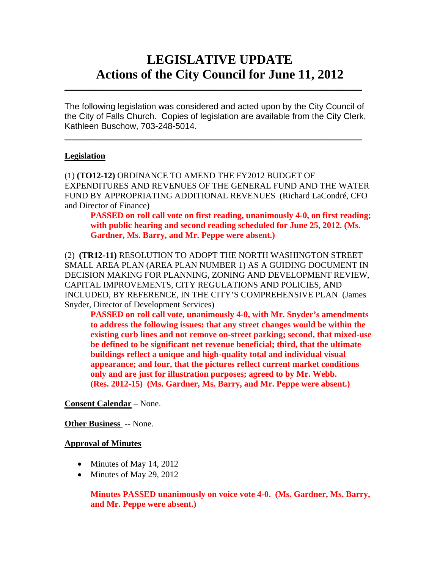# **LEGISLATIVE UPDATE Actions of the City Council for June 11, 2012**

The following legislation was considered and acted upon by the City Council of the City of Falls Church. Copies of legislation are available from the City Clerk, Kathleen Buschow, 703-248-5014.

 $\blacksquare$ 

 $\mathcal{L}_\text{max}$  and  $\mathcal{L}_\text{max}$  and  $\mathcal{L}_\text{max}$  and  $\mathcal{L}_\text{max}$  and  $\mathcal{L}_\text{max}$  and  $\mathcal{L}_\text{max}$ 

#### **Legislation**

(1) **(TO12-12)** ORDINANCE TO AMEND THE FY2012 BUDGET OF EXPENDITURES AND REVENUES OF THE GENERAL FUND AND THE WATER FUND BY APPROPRIATING ADDITIONAL REVENUES (Richard LaCondré, CFO and Director of Finance)

 **PASSED on roll call vote on first reading, unanimously 4-0, on first reading; with public hearing and second reading scheduled for June 25, 2012. (Ms. Gardner, Ms. Barry, and Mr. Peppe were absent.)** 

(2) **(TR12-11)** RESOLUTION TO ADOPT THE NORTH WASHINGTON STREET SMALL AREA PLAN (AREA PLAN NUMBER 1) AS A GUIDING DOCUMENT IN DECISION MAKING FOR PLANNING, ZONING AND DEVELOPMENT REVIEW, CAPITAL IMPROVEMENTS, CITY REGULATIONS AND POLICIES, AND INCLUDED, BY REFERENCE, IN THE CITY'S COMPREHENSIVE PLAN (James Snyder, Director of Development Services)

**PASSED on roll call vote, unanimously 4-0, with Mr. Snyder's amendments to address the following issues: that any street changes would be within the existing curb lines and not remove on-street parking; second, that mixed-use be defined to be significant net revenue beneficial; third, that the ultimate buildings reflect a unique and high-quality total and individual visual appearance; and four, that the pictures reflect current market conditions only and are just for illustration purposes; agreed to by Mr. Webb. (Res. 2012-15) (Ms. Gardner, Ms. Barry, and Mr. Peppe were absent.)** 

**Consent Calendar** – None.

#### **Other Business** -- None.

#### **Approval of Minutes**

- $\bullet$  Minutes of May 14, 2012
- $\bullet$  Minutes of May 29, 2012

**Minutes PASSED unanimously on voice vote 4-0. (Ms. Gardner, Ms. Barry, and Mr. Peppe were absent.)**